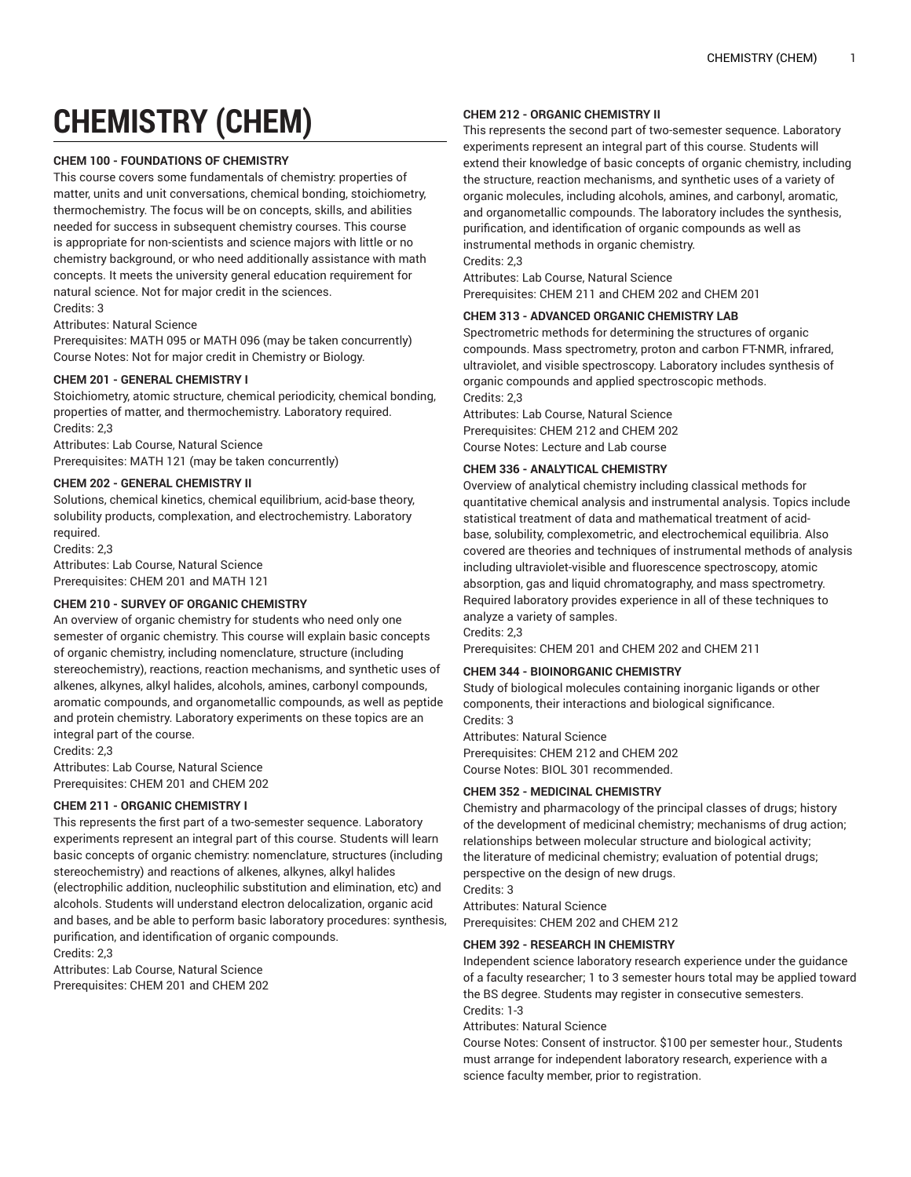# **CHEMISTRY (CHEM)**

#### **CHEM 100 - FOUNDATIONS OF CHEMISTRY**

This course covers some fundamentals of chemistry: properties of matter, units and unit conversations, chemical bonding, stoichiometry, thermochemistry. The focus will be on concepts, skills, and abilities needed for success in subsequent chemistry courses. This course is appropriate for non-scientists and science majors with little or no chemistry background, or who need additionally assistance with math concepts. It meets the university general education requirement for natural science. Not for major credit in the sciences. Credits: 3

## Attributes: Natural Science

Prerequisites: MATH 095 or MATH 096 (may be taken concurrently) Course Notes: Not for major credit in Chemistry or Biology.

#### **CHEM 201 - GENERAL CHEMISTRY I**

Stoichiometry, atomic structure, chemical periodicity, chemical bonding, properties of matter, and thermochemistry. Laboratory required. Credits: 2,3

Attributes: Lab Course, Natural Science Prerequisites: MATH 121 (may be taken concurrently)

## **CHEM 202 - GENERAL CHEMISTRY II**

Solutions, chemical kinetics, chemical equilibrium, acid-base theory, solubility products, complexation, and electrochemistry. Laboratory required.

Credits: 2,3 Attributes: Lab Course, Natural Science Prerequisites: CHEM 201 and MATH 121

#### **CHEM 210 - SURVEY OF ORGANIC CHEMISTRY**

An overview of organic chemistry for students who need only one semester of organic chemistry. This course will explain basic concepts of organic chemistry, including nomenclature, structure (including stereochemistry), reactions, reaction mechanisms, and synthetic uses of alkenes, alkynes, alkyl halides, alcohols, amines, carbonyl compounds, aromatic compounds, and organometallic compounds, as well as peptide and protein chemistry. Laboratory experiments on these topics are an integral part of the course.

Credits: 2,3 Attributes: Lab Course, Natural Science Prerequisites: CHEM 201 and CHEM 202

#### **CHEM 211 - ORGANIC CHEMISTRY I**

This represents the first part of a two-semester sequence. Laboratory experiments represent an integral part of this course. Students will learn basic concepts of organic chemistry: nomenclature, structures (including stereochemistry) and reactions of alkenes, alkynes, alkyl halides (electrophilic addition, nucleophilic substitution and elimination, etc) and alcohols. Students will understand electron delocalization, organic acid and bases, and be able to perform basic laboratory procedures: synthesis, purification, and identification of organic compounds. Credits: 2,3

Attributes: Lab Course, Natural Science Prerequisites: CHEM 201 and CHEM 202

#### **CHEM 212 - ORGANIC CHEMISTRY II**

This represents the second part of two-semester sequence. Laboratory experiments represent an integral part of this course. Students will extend their knowledge of basic concepts of organic chemistry, including the structure, reaction mechanisms, and synthetic uses of a variety of organic molecules, including alcohols, amines, and carbonyl, aromatic, and organometallic compounds. The laboratory includes the synthesis, purification, and identification of organic compounds as well as instrumental methods in organic chemistry. Credits: 2,3

Attributes: Lab Course, Natural Science

Prerequisites: CHEM 211 and CHEM 202 and CHEM 201

#### **CHEM 313 - ADVANCED ORGANIC CHEMISTRY LAB**

Spectrometric methods for determining the structures of organic compounds. Mass spectrometry, proton and carbon FT-NMR, infrared, ultraviolet, and visible spectroscopy. Laboratory includes synthesis of organic compounds and applied spectroscopic methods. Credits: 2,3

Attributes: Lab Course, Natural Science Prerequisites: CHEM 212 and CHEM 202 Course Notes: Lecture and Lab course

#### **CHEM 336 - ANALYTICAL CHEMISTRY**

Overview of analytical chemistry including classical methods for quantitative chemical analysis and instrumental analysis. Topics include statistical treatment of data and mathematical treatment of acidbase, solubility, complexometric, and electrochemical equilibria. Also covered are theories and techniques of instrumental methods of analysis including ultraviolet-visible and fluorescence spectroscopy, atomic absorption, gas and liquid chromatography, and mass spectrometry. Required laboratory provides experience in all of these techniques to analyze a variety of samples.

Credits: 2,3

Prerequisites: CHEM 201 and CHEM 202 and CHEM 211

## **CHEM 344 - BIOINORGANIC CHEMISTRY**

Study of biological molecules containing inorganic ligands or other components, their interactions and biological significance. Credite: 3

Attributes: Natural Science Prerequisites: CHEM 212 and CHEM 202 Course Notes: BIOL 301 recommended.

#### **CHEM 352 - MEDICINAL CHEMISTRY**

Chemistry and pharmacology of the principal classes of drugs; history of the development of medicinal chemistry; mechanisms of drug action; relationships between molecular structure and biological activity; the literature of medicinal chemistry; evaluation of potential drugs; perspective on the design of new drugs.

Credits: 3

Attributes: Natural Science

Prerequisites: CHEM 202 and CHEM 212

#### **CHEM 392 - RESEARCH IN CHEMISTRY**

Independent science laboratory research experience under the guidance of a faculty researcher; 1 to 3 semester hours total may be applied toward the BS degree. Students may register in consecutive semesters. Credits: 1-3

Attributes: Natural Science

Course Notes: Consent of instructor. \$100 per semester hour., Students must arrange for independent laboratory research, experience with a science faculty member, prior to registration.